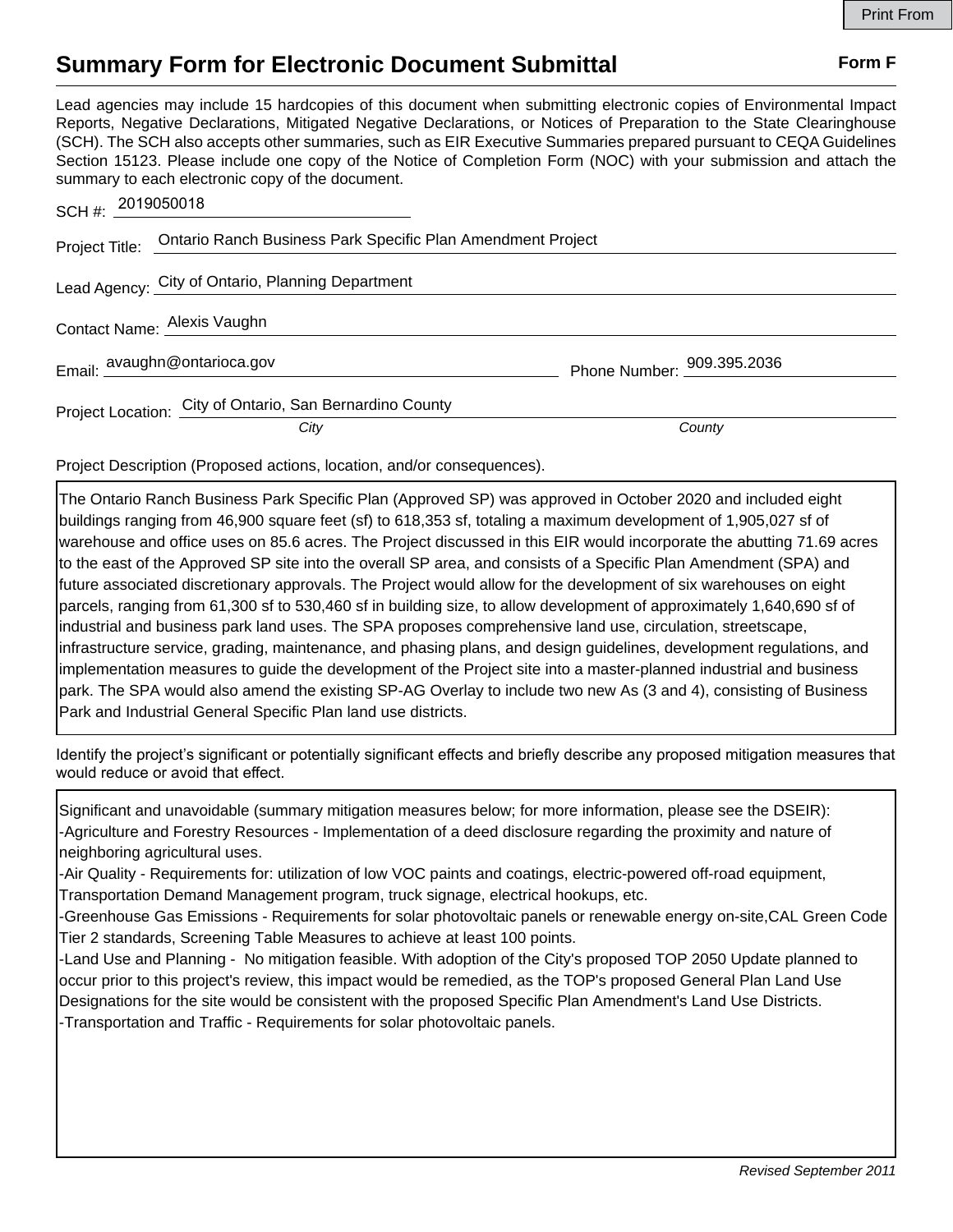## **Summary Form for Electronic Document Submittal Form F Form F**

Lead agencies may include 15 hardcopies of this document when submitting electronic copies of Environmental Impact Reports, Negative Declarations, Mitigated Negative Declarations, or Notices of Preparation to the State Clearinghouse (SCH). The SCH also accepts other summaries, such as EIR Executive Summaries prepared pursuant to CEQA Guidelines Section 15123. Please include one copy of the Notice of Completion Form (NOC) with your submission and attach the summary to each electronic copy of the document.

| SCH#: 2019050018 |                                                                            |                            |
|------------------|----------------------------------------------------------------------------|----------------------------|
|                  | Project Title: Ontario Ranch Business Park Specific Plan Amendment Project |                            |
|                  | Lead Agency: City of Ontario, Planning Department                          |                            |
|                  | Contact Name: Alexis Vaughn                                                |                            |
|                  | Email: avaughn@ontarioca.gov                                               | Phone Number: 909.395.2036 |
|                  | Project Location: City of Ontario, San Bernardino County                   |                            |
|                  | City                                                                       | County                     |

Project Description (Proposed actions, location, and/or consequences).

The Ontario Ranch Business Park Specific Plan (Approved SP) was approved in October 2020 and included eight buildings ranging from 46,900 square feet (sf) to 618,353 sf, totaling a maximum development of 1,905,027 sf of warehouse and office uses on 85.6 acres. The Project discussed in this EIR would incorporate the abutting 71.69 acres to the east of the Approved SP site into the overall SP area, and consists of a Specific Plan Amendment (SPA) and future associated discretionary approvals. The Project would allow for the development of six warehouses on eight parcels, ranging from 61,300 sf to 530,460 sf in building size, to allow development of approximately 1,640,690 sf of industrial and business park land uses. The SPA proposes comprehensive land use, circulation, streetscape, infrastructure service, grading, maintenance, and phasing plans, and design guidelines, development regulations, and implementation measures to guide the development of the Project site into a master-planned industrial and business park. The SPA would also amend the existing SP-AG Overlay to include two new As (3 and 4), consisting of Business Park and Industrial General Specific Plan land use districts.

Identify the project's significant or potentially significant effects and briefly describe any proposed mitigation measures that would reduce or avoid that effect.

Significant and unavoidable (summary mitigation measures below; for more information, please see the DSEIR): -Agriculture and Forestry Resources - Implementation of a deed disclosure regarding the proximity and nature of neighboring agricultural uses.

-Air Quality - Requirements for: utilization of low VOC paints and coatings, electric-powered off-road equipment, Transportation Demand Management program, truck signage, electrical hookups, etc.

-Greenhouse Gas Emissions - Requirements for solar photovoltaic panels or renewable energy on-site,CAL Green Code Tier 2 standards, Screening Table Measures to achieve at least 100 points.

-Land Use and Planning - No mitigation feasible. With adoption of the City's proposed TOP 2050 Update planned to occur prior to this project's review, this impact would be remedied, as the TOP's proposed General Plan Land Use Designations for the site would be consistent with the proposed Specific Plan Amendment's Land Use Districts. -Transportation and Traffic - Requirements for solar photovoltaic panels.